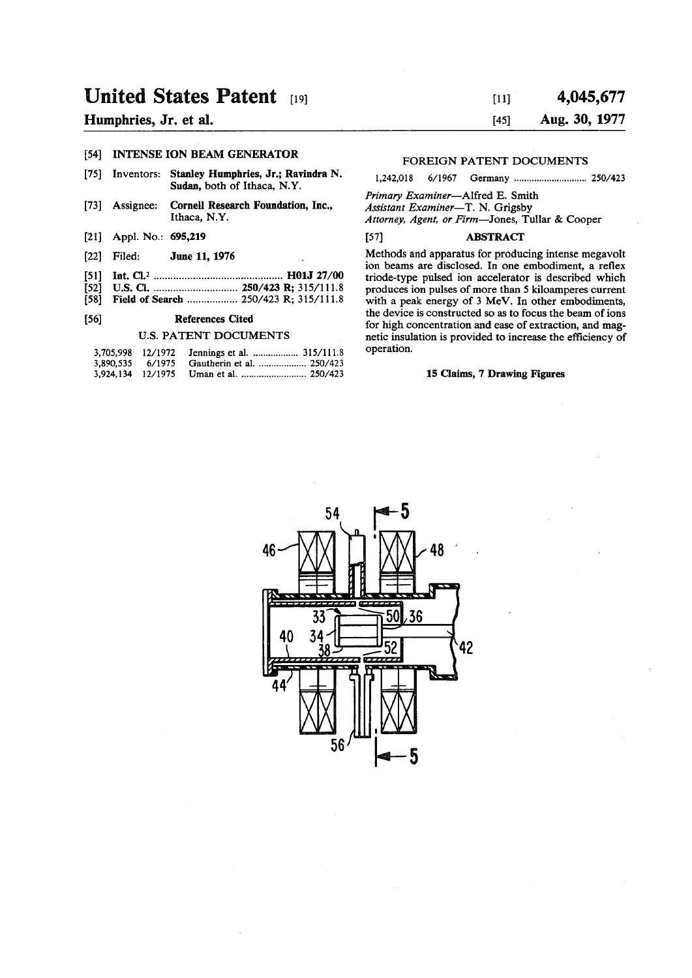# **United States Patent [19]**

## **Humphries, Jr. et al.**

#### **[54] INTENSE ION BEAM GENERATOR**

- **[75] Inventors: Stanley Humphries, Jr.; Rayindra N. Sudan, both of Ithaca, N.Y.**
- **[73] Assignee: Cornell Research Foundation, Inc., Ithaca, N.Y.**
- **[21] Appl. No.: 695,219**
- 
- **[22] Filed: June 11,1976**
- **[51] Int. CI.<sup>2</sup> H01J 27/00 [52] U.S. Q 250/423 R; 315/111.8**
- **[58] Field of Search 250/423 R; 315/111.8**

### **[56] References Cited**

#### **U.S. PATENT DOCUMENTS**

| 3,705,998 12/1972 |                           |
|-------------------|---------------------------|
| 3,890,535 6/1975  | Gautherin et al.  250/423 |
|                   |                           |

## [ii] 4 **,045,67 7 [45] Aug. 30, 1977**

## **FOREIGN PATENT DOCUMENTS**

1,242,018 6/1967 Germany ................................... 250/423

*Primary Examiner***—Alfred E. Smith**  *Assistant Examiner***—T. N. Grigsby**  *Attorney, Agent, or Firm***—Jones, Tullar & Cooper** 

#### **[57] ABSTRACT**

**Methods and apparatus for producing intense megavolt ion beams are disclosed. In one embodiment, a reflex triode-type pulsed ion accelerator is described which produces ion pulses of more than 5 kiloamperes current with a peak energy of 3 MeV, In other embodiments, the device is constructed so as to focus the beam of ions for high concentration and ease of extraction, and magnetic insulation is provided to increase the efficiency of operation.** 

## **15 Claims, 7 Drawing Figures**

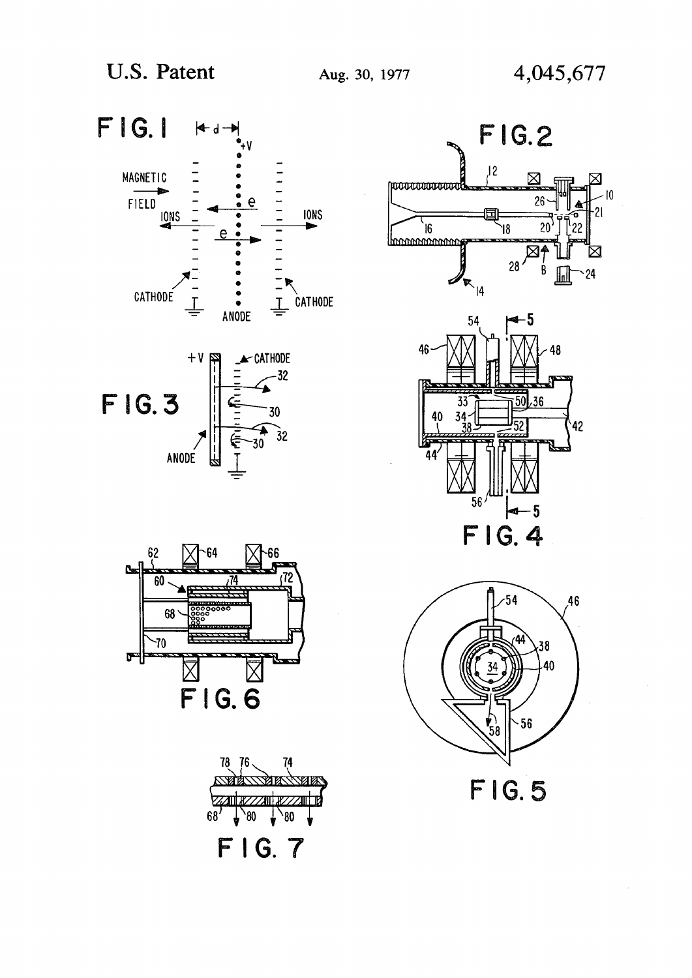





**FIG.5** 



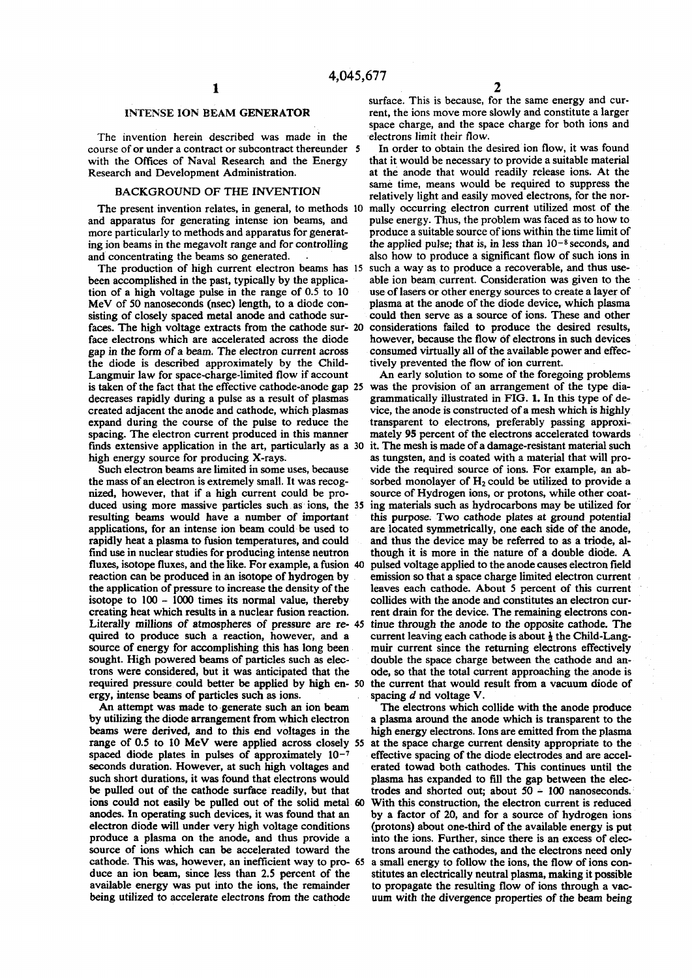#### **INTENSE ION BEAM GENERATOR**

**The invention herein described was made in the course of or under a contract or subcontract thereunder 5 with the Offices of Naval Research and the Energy Research and Development Administration.** 

#### **BACKGROUND OF THE INVENTION**

**The present invention relates, in general, to methods 10 and apparatus for generating intense ion beams, and more particularly to methods and apparatus for generating ion beams in the megavolt range and for controlling and concentrating the beams so generated.** 

**The production of high current electron beams has 15 been accomplished in the past, typically by the application of a high voltage pulse in the range of 0.5 to 10 MeV of 50 nanoseconds (nsec) length, to a diode consisting of closely spaced metal anode and cathode surfaces. The high voltage extracts from the cathode sur- 20 face electrons which are accelerated across the diode gap in the form of a beam. The electron current across the diode is described approximately by the Child-Langmuir law for space-charge-limited flow if account is taken of the fact that the effective cathode-anode gap 25 decreases rapidly during a pulse as a result of plasmas created adjacent the anode and cathode, which plasmas expand during the course of the pulse to reduce the spacing. The electron current produced in this manner finds extensive application in the art, particularly as a 30 high energy source for producing X-rays.** 

**Such electron beams are limited in some uses, because the mass of an electron is extremely small. It was recognized, however, that if a high current could be produced using more massive particles such as ions, the 35 resulting beams would have a number of important applications, for an intense ion beam could be used to rapidly heat a plasma to fusion temperatures, and could find use in nuclear studies for producing intense neutron fluxes, isotope fluxes, and the like. For example, a fusion 40 reaction can be produced in an isotope of hydrogen by the application of pressure to increase the density of the isotope to 100 - 1000 times its normal value, thereby creating heat which results in a nuclear fusion reaction. Literally millions of atmospheres of pressure are re- 45 quired to produce such a reaction, however, and a source of energy for accomplishing this has long been sought. High powered beams of particles such as electrons were considered, but it was anticipated that the required pressure could better be applied by high en- 50 ergy, intense beams of particles such as ions.** 

**An attempt was made to generate such an ion beam by utilizing the diode arrangement from which electron beams were derived, and to this end voltages in the range of 0.5 to 10 MeV were applied across closely 55 spaced diode plates in pulses of approximately 10~<sup>7</sup> seconds duration. However, at such high voltages and such short durations, it was found that electrons would be pulled out of the cathode surface readily, but that ions could not easily be pulled out of the solid metal 60 anodes. In operating such devices, it was found that an electron diode will under very high voltage conditions produce a plasma on the anode, and thus provide a source of ions which can be accelerated toward the cathode. This was, however, an inefficient way to pro- 65 duce an ion beam, since less than 2.5 percent of the available energy was put into the ions, the remainder being utilized to accelerate electrons from the cathode** 

**surface. This is because, for the same energy and current, the ions move more slowly and constitute a larger space charge, and the space charge for both ions and electrons limit their flow.** 

**In order to obtain the desired ion flow, it was found that it would be necessary to provide a suitable material at the anode that would readily release ions. At the same time, means would be required to suppress the relatively light and easily moved electrons, for the normally occurring electron current utilized most of the pulse energy. Thus, the problem was faced as to how to produce a suitable source of ions within the time limit of the applied pulse; that is, in less than 10-<sup>8</sup> seconds, and also how to produce a significant flow of such ions in such a way as to produce a recoverable, and thus useable ion beam current. Consideration was given to the use of lasers or other energy sources to create a layer of plasma at the anode of the diode device, which plasma could then serve as a source of ions. These and other considerations failed to produce the desired results, however, because the flow of electrons in such devices consumed virtually all of the available power and effectively prevented the flow of ion current.** 

**An early solution to some of the foregoing problems was the provision of an arrangement of the type diagrammatically illustrated in FIG. 1. In this type of device, the anode is constructed of a mesh which is highly transparent to electrons, preferably passing approximately 95 percent of the electrons accelerated towards it. The mesh is made of a damage-resistant material such as tungsten, and is coated with a material that will provide the required source of ions. For example, an absorbed monolayer of H2 could be utilized to provide a source of Hydrogen ions, or protons, while other coating materials such as hydrocarbons may be utilized for this purpose. Two cathode plates at ground potential are located symmetrically, one each side of the anode, and thus the device may be referred to as a triode, although it is more in the nature of a double diode. A pulsed voltage applied to the anode causes electron field emission so that a space charge limited electron current leaves each cathode. About 5 percent of this current collides with the anode and constitutes an electron current drain for the device. The remaining electrons continue through the anode to the opposite cathode. The**  current leaving each cathode is about  $\frac{1}{2}$  the Child-Lang**muir current since the returning electrons effectively double the space charge between the cathode and anode, so that the total current approaching the anode is the current that would result from a vacuum diode of spacing** *d* **nd voltage V.** 

**The electrons which collide with the anode produce a plasma around the anode which is transparent to the high energy electrons. Ions are emitted from the plasma at the space charge current density appropriate to the effective spacing of the diode electrodes and are accelerated towad both cathodes. This continues until the plasma has expanded to fill the gap between the electrodes and shorted out; about 50 - 100 nanoseconds. With this construction, the electron current is reduced by a factor of 20, and for a source of hydrogen ions (protons) about one-third of the available energy is put into the ions. Further, since there is an excess of electrons around the cathodes, and the electrons need only a small energy to follow the ions, the flow of ions constitutes an electrically neutral plasma, making it possible to propagate the resulting flow of ions through a vacuum with the divergence properties of the beam being**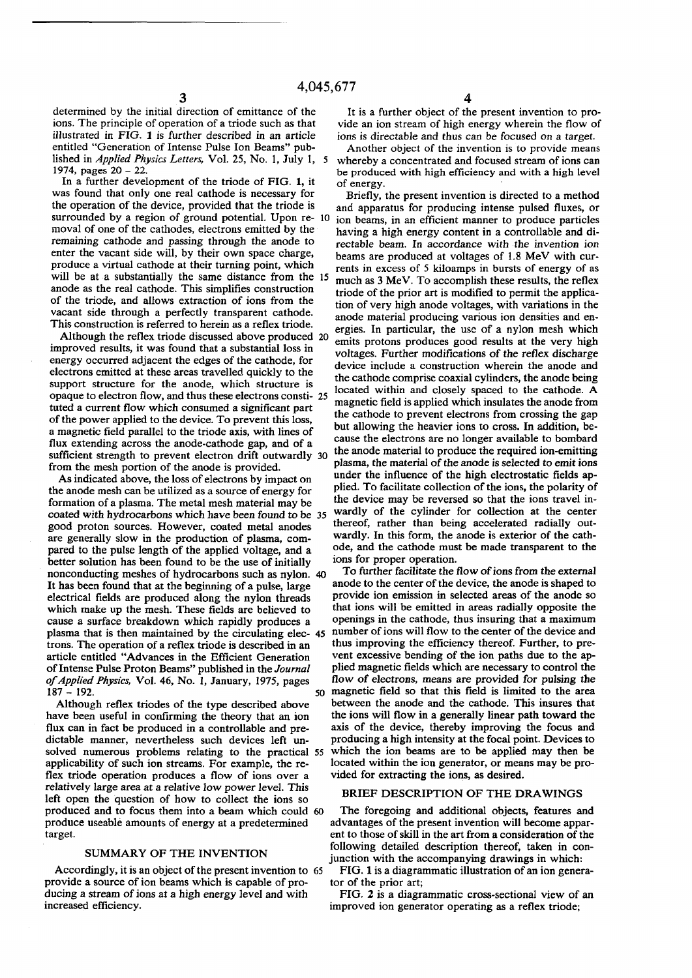**determined by the initial direction of emittance of the ions. The principle of operation of a triode such as that illustrated in FIG. 1 is further described in an article entitled "Generation of Intense Pulse Ion Beams" published in** *Applied Physics Letters,* **Vol. 25, No. 1, July 1, 5 1974, pages 20 - 22.** 

**In a further development of the triode of FIG. 1, it was found that only one real cathode is necessary for the operation of the device, provided that the triode is surrounded by a region of ground potential. Upon re- 10 moval of one of the cathodes, electrons emitted by the remaining cathode and passing through the anode to enter the vacant side will, by their own space charge, produce a virtual cathode at their turning point, which will be at a substantially the same distance from the 15 anode as the real cathode. This simplifies construction of the triode, and allows extraction of ions from the vacant side through a perfectly transparent cathode. This construction is referred to herein as a reflex triode.** 

**Although the reflex triode discussed above produced 20 improved results, it was found that a substantial loss in energy occurred adjacent the edges of the cathode, for electrons emitted at these areas travelled quickly to the support structure for the anode, which structure is opaque to electron flow, and thus these electrons consti- 25 tuted a current flow which consumed a significant part of the power applied to the device. To prevent this loss, a magnetic field parallel to the triode axis, with lines of flux extending across the anode-cathode gap, and of a sufficient strength to prevent electron drift outwardly 30 from the mesh portion of the anode is provided.** 

**As indicated above, the loss of electrons by impact on the anode mesh can be utilized as a source of energy for formation of a plasma. The metal mesh material may be coated with hydrocarbons which have been found to be 35 good proton sources. However, coated metal anodes are generally slow in the production of plasma, compared to the pulse length of the applied voltage, and a better solution has been found to be the use of initially nonconducting meshes of hydrocarbons such as nylon. 40 It has been found that at the beginning of a pulse, large electrical fields are produced along the nylon threads which make up the mesh. These fields are believed to cause a surface breakdown which rapidly produces a plasma that is then maintained by the circulating elec- 45**  trons. The operation of a reflex triode is described in an **article entitled "Advances in the Efficient Generation of Intense Pulse Proton Beams" published in the** *Journal of Applied Physics,* **Vol. 46, No. 1, January, 1975, pages 187 - 192.** So **50** 

**Although reflex triodes of the type described above have been useful in confirming the theory that an ion flux can in fact be produced in a controllable and predictable manner, nevertheless such devices left unsolved numerous problems relating to the practical 55 applicability of such ion streams. For example, the reflex triode operation produces a flow of ions over a relatively large area at a relative low power level. This left open the question of how to collect the ions so produced and to focus them into a beam which could 60 produce useable amounts of energy at a predetermined target.** 

#### **SUMMARY OF THE INVENTION**

**Accordingly, it is an object of the present invention to 65 provide a source of ion beams which is capable of producing a stream of ions at a high energy level and with increased efficiency.** 

**It is a further object of the present invention to provide an ion stream of high energy wherein the flow of ions is directable and thus can be focused on a target.** 

**Another object of the invention is to provide means whereby a concentrated and focused stream of ions can be produced with high efficiency and with a high level of energy.** 

**Briefly, the present invention is directed to a method and apparatus for producing intense pulsed fluxes, or ion beams, in an efficient manner to produce particles having a high energy content in a controllable and directable beam. In accordance with the invention ion beams are produced at voltages of 1.8 MeV with currents in excess of 5 kiloamps in bursts of energy of as much as 3 MeV. To accomplish these results, the reflex triode of the prior art is modified to permit the application of very high anode voltages, with variations in the anode material producing various ion densities and energies. In particular, the use of a nylon mesh which emits protons produces good results at the very high voltages. Further modifications of the reflex discharge device include a construction wherein the anode and the cathode comprise coaxial cylinders, the anode being located within and closely spaced to the cathode. A magnetic field is applied which insulates the anode from the cathode to prevent electrons from crossing the gap but allowing the heavier ions to cross. In addition, because the electrons are no longer available to bombard the anode material to produce the required ion-emitting plasma, the material of the anode is selected to emit ions under the influence of the high electrostatic fields applied. To facilitate collection of the ions, the polarity of the device may be reversed so that the ions travel inwardly of the cylinder for collection at the center thereof, rather than being accelerated radially outwardly. In this form, the anode is exterior of the cathode, and the cathode must be made transparent to the ions for proper operation.** 

**To further facilitate the flow of ions from the external anode to the center of the device, the anode is shaped to provide ion emission in selected areas of the anode so that ions will be emitted in areas radially opposite the openings in the cathode, thus insuring that a maximum number of ions will flow to the center of the device and thus improving the efficiency thereof. Further, to prevent excessive bending of the ion paths due to the applied magnetic fields which are necessary to control the flow of electrons, means are provided for pulsing the magnetic field so that this field is limited to the area between the anode and the cathode. This insures that the ions will flow in a generally linear path toward the axis of the device, thereby improving the focus and producing a high intensity at the focal point. Devices to which the ion beams are to be applied may then be located within the ion generator, or means may be provided for extracting the ions, as desired.** 

#### **BRIEF DESCRIPTION OF THE DRAWINGS**

**The foregoing and additional objects, features and advantages of the present invention will become apparent to those of skill in the art from a consideration of the following detailed description thereof, taken in conjunction with the accompanying drawings in which:** 

**FIG. 1 is a diagrammatic illustration of an ion generator of the prior art;** 

**FIG. 2 is a diagrammatic cross-sectional view of an improved ion generator operating as a reflex triode;**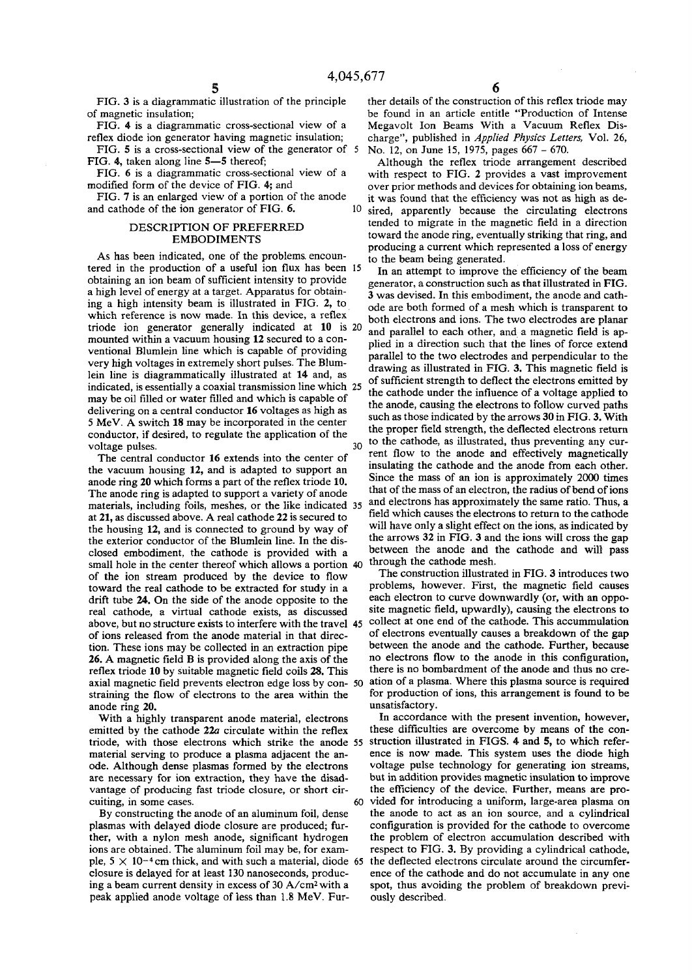**FIG. 3 is a diagrammatic illustration of the principle of magnetic insulation;** 

**FIG. 4 is a diagrammatic cross-sectional view of a reflex diode ion generator having magnetic insulation;** 

**FIG. 5 is a cross-sectional view of the generator of 5 FIG. 4, taken along line 5—5 thereof;** 

**FIG. 6 is a diagrammatic cross-sectional view of a modified form of the device of FIG. 4; and** 

**FIG. 7 is an enlarged view of a portion of the anode**  and cathode of the ion generator of FIG. 6. 10

#### **DESCRIPTION OF PREFERRED EMBODIMENTS**

**As has been indicated, one of the problems, encountered in the production of a useful ion flux has been 15 obtaining an ion beam of sufficient intensity to provide a high level of energy at a target. Apparatus for obtaining a high intensity beam is illustrated in FIG. 2, to which reference is now made. In this device, a reflex triode ion generator generally indicated at 10 is 20 mounted within a vacuum housing 12 secured to a conventional Blumlein line which is capable of providing very high voltages in extremely short pulses. The Blumlein line is diagrammatically illustrated at 14 and, as indicated, is essentially a coaxial transmission line which 25 may be oil filled or water filled and which is capable of delivering on a central conductor 16 voltages as high as 5 MeV. A switch 18 may be incorporated in the center conductor, if desired, to regulate the application of the voltage pulses. 30** 

**The central conductor 16 extends into the center of the vacuum housing 12, and is adapted to support an anode ring 20 which forms a part of the reflex triode 10. The anode ring is adapted to support a variety of anode materials, including foils, meshes, or the like indicated 35 at 21, as discussed above. A real cathode 22 is secured to the housing 12, and is connected to ground by way of the exterior conductor of the Blumlein line. In the disclosed embodiment, the cathode is provided with a small hole in the center thereof which allows a portion 40 of the ion stream produced by the device to flow toward the real cathode to be extracted for study in a drift tube 24. On the side of the anode opposite to the real cathode, a virtual cathode exists, as discussed above, but no structure exists to interfere with the travel 45 of ions released from the anode material in that direction. These ions may be collected in an extraction pipe 26. A magnetic field B is provided along the axis of the reflex triode 10 by suitable magnetic field coils 28. This axial magnetic field prevents electron edge loss by con- 50 straining the flow of electrons to the area within the anode ring 20.** 

**With a highly transparent anode material, electrons emitted by the cathode 22a circulate within the reflex triode, with those electrons which strike the anode 55 material serving to produce a plasma adjacent the anode. Although dense plasmas formed by the electrons are necessary for ion extraction, they have the disadvantage of producing fast triode closure, or short cir**cuiting, in some cases.

**By constructing the anode of an aluminum foil, dense plasmas with delayed diode closure are produced; further, with a nylon mesh anode, significant hydrogen ions are obtained. The aluminum foil may be, for exam**ple,  $5 \times 10^{-4}$  cm thick, and with such a material, diode 65 **closure is delayed for at least 130 nanoseconds, producing a beam current density in excess of 30 A/cm<sup>2</sup> with a peak applied anode voltage of less than 1.8 MeV. Fur-**

**ther details of the construction of this reflex triode may be found in an article entitle "Production of Intense Megavolt Ion Beams With a Vacuum Reflex Discharge", published in** *Applied Physics Letters,* **Vol. 26, No. 12, on June 15, 1975, pages 667 - 670.** 

**Although the reflex triode arrangement described with respect to FIG. 2 provides a vast improvement over prior methods and devices for obtaining ion beams, it was found that the efficiency was not as high as desired, apparently because the circulating electrons tended to migrate in the magnetic field in a direction toward the anode ring, eventually striking that ring, and producing a current which represented a loss of energy to the beam being generated.** 

**In an attempt to improve the efficiency of the beam generator, a construction such as that illustrated in FIG. 3 was devised. In this embodiment, the anode and cathode are both formed of a mesh which is transparent to both electrons and ions. The two electrodes are planar and parallel to each other, and a magnetic field is applied in a direction such that the lines of force extend parallel to the two electrodes and perpendicular to the drawing as illustrated in FIG. 3. This magnetic field is of sufficient strength to deflect the electrons emitted by the cathode under the influence of a voltage applied to the anode, causing the electrons to follow curved paths such as those indicated by the arrows 30 in FIG. 3. With the proper field strength, the deflected electrons return to the cathode, as illustrated, thus preventing any current flow to the anode and effectively magnetically insulating the cathode and the anode from each other. Since the mass of an ion is approximately 2000 times that of the mass of an electron, the radius of bend of ions and electrons has approximately the same ratio. Thus, a field which causes the electrons to return to the cathode will have only a slight effect on the ions, as indicated by the arrows 32 in FIG. 3 and the ions will cross the gap between the anode and the cathode and will pass** 

**The construction illustrated in FIG. 3 introduces two problems, however. First, the magnetic field causes each electron to curve downwardly (or, with an opposite magnetic field, upwardly), causing the electrons to collect at one end of the cathode. This accummulation of electrons eventually causes a breakdown of the gap between the anode and the cathode. Further, because no electrons flow to the anode in this configuration, there is no bombardment of the anode and thus no creation of a plasma. Where this plasma source is required for production of ions, this arrangement is found to be unsatisfactory.** 

**through the cathode mesh.** 

**In accordance with the present invention, however, these difficulties are overcome by means of the construction illustrated in FIGS. 4 and 5, to which reference is now made. This system uses the diode high voltage pulse technology for generating ion streams, but in addition provides magnetic insulation to improve the efficiency of the device. Further, means are provided for introducing a uniform, large-area plasma on the anode to act as an ion source, and a cylindrical configuration is provided for the cathode to overcome the problem of electron accumulation described with respect to FIG. 3. By providing a cylindrical cathode, the deflected electrons circulate around the circumference of the cathode and do not accumulate in any one spot, thus avoiding the problem of breakdown previously described.**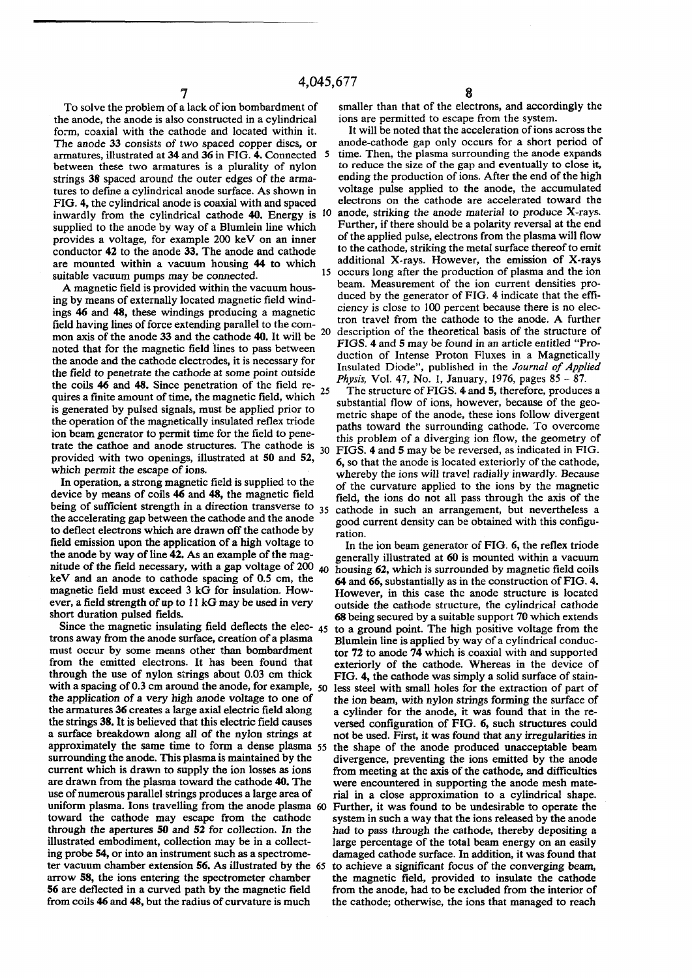**To solve the problem of a lack of ion bombardment of the anode, the anode is also constructed in a cylindrical form, coaxial with the cathode and located within it. The anode 33 consists of two spaced copper discs, or armatures, illustrated at 34 and 36 in FIG. 4. Connected between these two armatures is a plurality of nylon strings 38 spaced around the outer edges of the armatures to define a cylindrical anode surface. As shown in FIG. 4, the cylindrical anode is coaxial with and spaced inwardly from the cylindrical cathode 40. Energy is**  10 **supplied to the anode by way of a Blumlein line which provides a voltage, for example 200 keV on an inner conductor 42 to the anode 33. The anode and cathode are mounted within a vacuum housing 44 to which suitable vacuum pumps may be connected.**  15

**A magnetic field is provided within the vacuum housing by means of externally located magnetic field windings 46 and 48, these windings producing a magnetic field having lines of force extending parallel to the common axis of the anode 33 and the cathode 40. It will be**  20 **noted that for the magnetic field lines to pass between the anode and the cathode electrodes, it is necessary for the field to penetrate the cathode at some point outside the coils 46 and 48. Since penetration of the field requires a finite amount of time, the magnetic field, which is generated by pulsed signals, must be applied prior to the operation Of the magnetically insulated reflex triode ion beam generator to permit time for the field to pene**trate the cathoe and anode structures. The cathode is <sup>30</sup> **provided with two openings, illustrated at 50 and 52, which permit the escape of ions.**  25

**In operation, a strong magnetic field is supplied to the device by means of coils 46 and 48, the magnetic field**  being of sufficient strength in a direction transverse to <sup>35</sup> cathode in such an arrangement, but nevertheless a **the accelerating gap between the cathode and the anode to deflect electrons which are drawn off the cathode by field emission upon the application of a high voltage to the anode by way of line 42. As an example of the magnitude of the field necessary, with a gap voltage of 200 40 housing 62, which is surrounded by magnetic field coils keV and an anode to cathode spacing of 0.5 cm, the magnetic field must exceed 3 kG for insulation. However, a field strength of up to 11 kG may be used in very short duration pulsed fields.** 

**trons away from the anode surface, creation of a plasma must occur by some means other than bombardment from the emitted electrons. It has been found that through the use of nylon strings about 0.03 cm thick**  with a spacing of 0.3 cm around the anode, for example, 50 **the application of a very high anode voltage to one of the armatures 36 creates a large axial electric field along the strings 38. It is believed that this electric field causes a surface breakdown along all of the nylon strings at**  approximately the same time to form a dense plasma 55 **surrounding the anode. This plasma is maintained by the current which is drawn to supply the ion losses as ions are drawn from the plasma toward the cathode 40. The use of numerous parallel strings produces a large area of uniform plasma. Ions travelling from the anode plasma 60 toward the cathode may escape from the cathode through the apertures 50 and 52 for collection. In the illustrated embodiment, collection may be in a collecting probe 54, or into an instrument such as a spectrome**ter vacuum chamber extension **56.** As illustrated by the 65 **arrow 58, the ions entering the spectrometer chamber 56 are deflected in a curved path by the magnetic field from coils 46 and 48, but the radius of curvature is much** 

**smaller than that of the electrons, and accordingly the ions are permitted to escape from the system.** 

**It will be noted that the acceleration of ions across the anode-cathode gap only occurs for a short period of time. Then, the plasma surrounding the anode expands to reduce the size of the gap and eventually to close it, ending the production of ions. After the end of the high voltage pulse applied to the anode, the accumulated electrons on the cathode are accelerated toward the anode, striking the anode material to produce X-rays. Further, if there should be a polarity reversal at the end of the applied pulse, electrons from the plasma will flow to the cathode, striking the metal surface thereof to emit additional X-rays. However, the emission of X-rays occurs long after the production of plasma and the ion beam. Measurement of the ion current densities produced by the generator of FIG. 4 indicate that the efficiency is close to 100 percent because there is no electron travel from the cathode to the anode. A further description of the theoretical basis of the structure of FIGS. 4 and 5 may be found in an article entitled "Production of Intense Proton Fluxes in a Magnetically Insulated Diode", published in the** *Journal of Applied Physis,* **Vol. 47, No. 1, January, 1976, pages 85 - 87.** 

**The structure of FIGS. 4 and 5, therefore, produces a substantial flow of ions, however, because of the geometric shape of the anode, these ions follow divergent paths toward the surrounding cathode. To overcome this problem of a diverging ion flow, the geometry of FIGS. 4 and 5 may be be reversed, as indicated in FIG. 6, so that the anode is located exteriorly of the cathode, whereby the ions will travel radially inwardly. Because of the curvature applied to the ions by the magnetic field, the ions do not all pass through the axis of the good current density can be obtained with this configuration.** 

**Since the magnetic insulating field deflects the elec-** 45 **to a ground point. The high positive voltage from the In the ion beam generator of FIG. 6, the reflex triode generally illustrated at 60 is mounted within a vacuum 64 and 66, substantially as in the construction of FIG. 4. However, in this case the anode structure is located outside the cathode structure, the cylindrical cathode 68 being secured by a suitable support 70 which extends Blumlein line is applied by way of a cylindrical conductor 72 to anode 74 which is coaxial with and supported exteriorly of the cathode. Whereas in the device of FIG. 4, the cathode was simply a solid surface of stainless steel with small holes for the extraction of part of the ion beam, with nylon strings forming the surface of a cylinder for the anode, it was found that in the reversed configuration of FIG. 6, such structures could not be used. First, it was found that any irregularities in the shape of the anode produced unacceptable beam divergence, preventing the ions emitted by the anode from meeting at the axis of the cathode, and difficulties were encountered in supporting the anode mesh material in a close approximation to a cylindrical shape. Further, it was found to be undesirable to operate the system in such a way that the ions released by the anode had to pass through the cathode, thereby depositing a large percentage of the total beam energy on an easily damaged cathode surface. In addition, it was found that to achieve a significant focus of the converging beam, the magnetic field, provided to insulate the cathode from the anode, had to be excluded from the interior of the cathode; otherwise, the ions that managed to reach**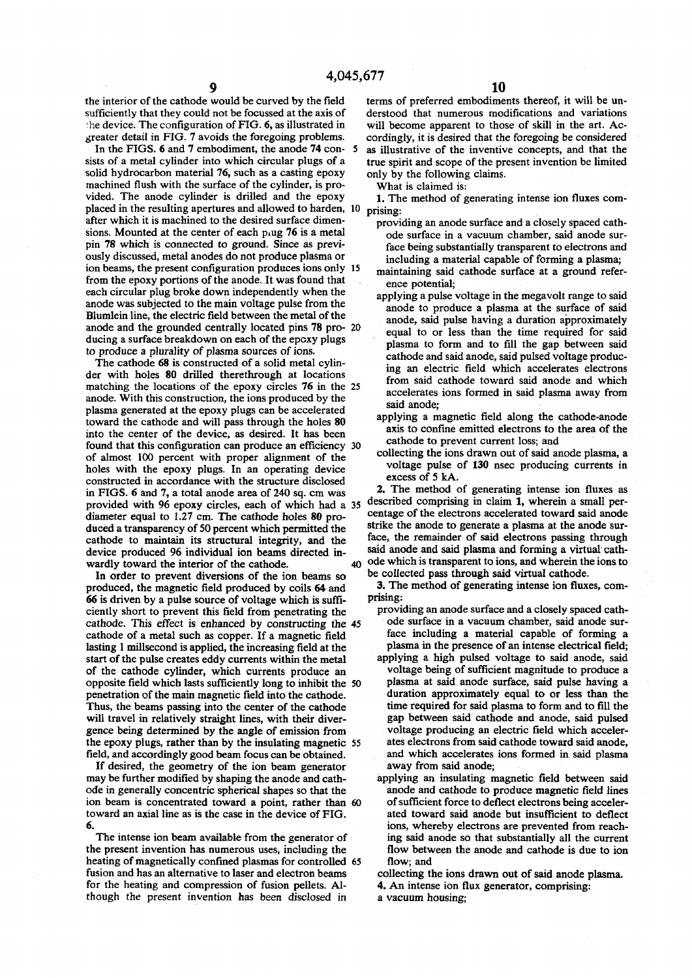**the interior of the cathode would be curved by the field sufficiently that they could not be focussed at the axis of '.he device. The configuration of FIG. 6, as illustrated in greater detail in FIG. 7 avoids the foregoing problems.** 

**In the FIGS. 6 and 7 embodiment, the anode 74 con- 5 sists of a metal cylinder into which circular plugs of a solid hydrocarbon material 76, such as a casting epoxy machined flush with the surface of the cylinder, is provided. The anode cylinder is drilled and the epoxy placed in the resulting apertures and allowed to harden, 10 after which it is machined to the desired surface dimensions. Mounted at the center of each piug 76 is a metal pin 78 which is connected to ground. Since as previously discussed, metal anodes do not produce plasma or ion beams, the present configuration produces ions only 15 from the epoxy portions of the anode. It was found that each circular plug broke down independently when the anode was subjected to the main voltage pulse from the Blumlein line, the electric field between the metal of the anode and the grounded centrally located pins 78 pro- 20 ducing a surface breakdown on each of the epoxy plugs to produce a plurality of plasma sources of ions.** 

**The cathode 68 is constructed of a solid metal cylinder with holes 80 drilled therethrough at locations matching the locations of the epoxy circles 76 in the 25 anode. With this construction, the ions produced by the plasma generated at the epoxy plugs can be accelerated toward the cathode and will pass through the holes 80 into the center of the device, as desired. It has been found that this configuration can produce an efficiency 30 of almost 100 percent with proper alignment of the holes with the epoxy plugs. In an operating device constructed in accordance with the structure disclosed in FIGS. 6 and 7, a total anode area of 240 sq. cm was provided with 96 epoxy circles, each of which had a 35 diameter equal to 1.27 cm. The cathode holes 80 produced a transparency of 50 percent which permitted the cathode to maintain its structural integrity, and the device produced 96 individual ion beams directed inwardly toward the interior of the cathode. 40** 

**In order to prevent diversions of the ion beams so produced, the magnetic field produced by coils 64 and 66 is driven by a pulse source of voltage which is sufficiently short to prevent this field from penetrating the cathode. This effect is enhanced by constructing the 45 cathode of a metal such as copper. If a magnetic field lasting 1 millsecond is applied, the increasing field at the start of the pulse creates eddy currents within the metal of the cathode cylinder, which currents produce an opposite field which lasts sufficiently long to inhibit the 50 penetration of the main magnetic field into the cathode. Thus, the beams passing into the center of the cathode will travel in relatively straight lines, with their divergence being determined by the angle of emission from the epoxy plugs, rather than by the insulating magnetic 55 field, and accordingly good beam focus can be obtained.** 

**If desired, the geometry of the ion beam generator may be further modified by shaping the anode and cathode in generally concentric spherical shapes so that the ion beam is concentrated toward a point, rather than 60 toward an axial line as is the case in the device of FIG. 6.** 

**The intense ion beam available from the generator of the present invention has numerous uses, including the heating of magnetically confined plasmas for controlled 65 fusion and has an alternative to laser and electron beams for the heating and compression of fusion pellets. Although the present invention has been disclosed in** 

**terms of preferred embodiments thereof, it will be understood that numerous modifications and variations will become apparent to those of skill in the art. Accordingly, it is desired that the foregoing be considered as illustrative of the inventive concepts, and that the true spirit and scope of the present invention be limited only by the following claims.** 

**What is claimed is:** 

**1. The method of generating intense ion fluxes comprising:** 

**providing an anode surface and a closely spaced cathode surface in a vacuum chamber, said anode surface being substantially transparent to electrons and including a material capable of forming a plasma;** 

**maintaining said cathode surface at a ground reference potential;** 

- **applying a pulse voltage in the megavolt range to said anode to produce a plasma at the surface of said anode, said pulse having a duration approximately equal to or less than the time required for said plasma to form and to fill the gap between said cathode and said anode, said pulsed voltage producing an electric field which accelerates electrons from said cathode toward said anode and which accelerates ions formed in said plasma away from said anode;**
- **applying a magnetic field along the cathode-anode axis to confine emitted electrons to the area of the cathode to prevent current loss; and**
- **collecting the ions drawn out of said anode plasma, a voltage pulse of 130 nsec producing currents in excess of 5 kA.**

**2. The method of generating intense ion fluxes as described comprising in claim 1, wherein a small percentage of the electrons accelerated toward said anode strike the anode to generate a plasma at the anode surface, the remainder of said electrons passing through said anode and said plasma and forming a virtual cathode which is transparent to ions, and wherein the ions to** 

**be collected pass through said virtual cathode. 3. The method of generating intense ion fluxes, comprising:** 

- **providing an anode surface and a closely spaced cathode surface in a vacuum chamber, said anode surface including a material capable of forming a plasma in the presence of an intense electrical field;**
- **applying a high pulsed voltage to said anode, said voltage being of sufficient magnitude to produce a plasma at said anode surface, said pulse having a duration approximately equal to or less than the time required for said plasma to form and to fill the gap between said cathode and anode, said pulsed voltage producing an electric field which accelerates electrons from said cathode toward said anode, and which accelerates ions formed in said plasma away from said anode;**
- **applying an insulating magnetic field between said anode and cathode to produce magnetic field lines of sufficient force to deflect electrons being accelerated toward said anode but insufficient to deflect ions, whereby electrons are prevented from reaching said anode so that substantially all the current flow between the anode and cathode is due to ion flow; and**

**collecting the ions drawn out of said anode plasma.** 

**4. An intense ion flux generator, comprising:** 

**a vacuum housing;**